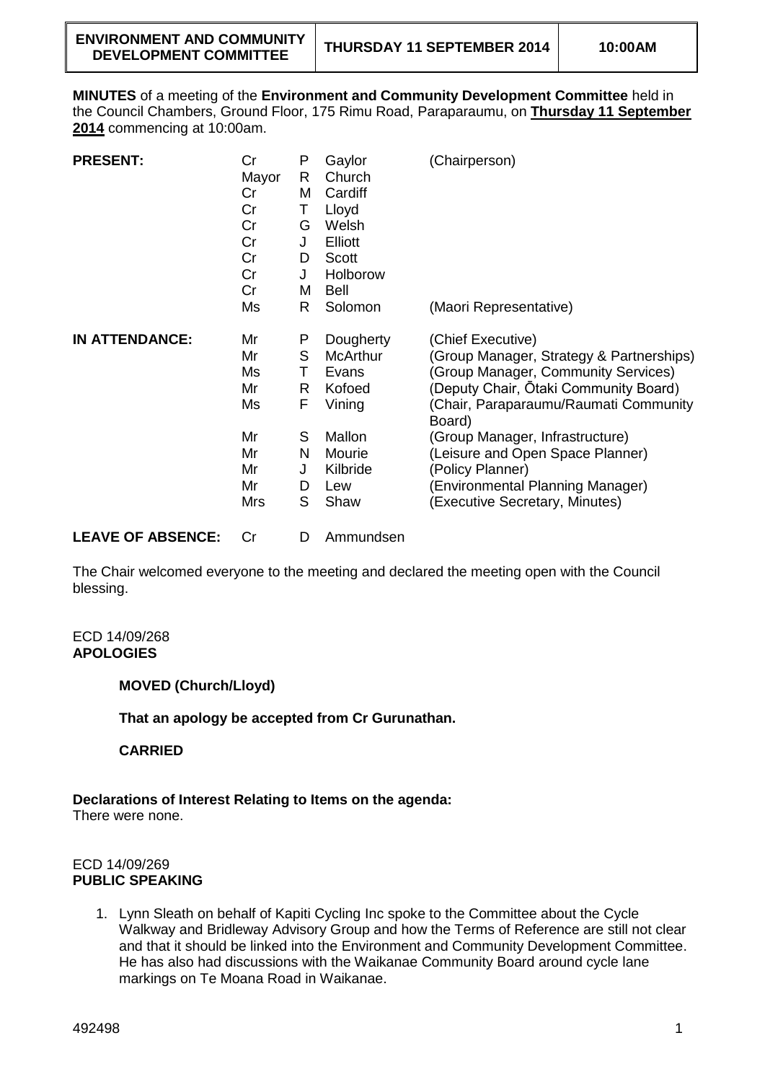**MINUTES** of a meeting of the **Environment and Community Development Committee** held in the Council Chambers, Ground Floor, 175 Rimu Road, Paraparaumu, on **Thursday 11 September 2014** commencing at 10:00am.

| <b>PRESENT:</b>       | Cr<br>Mayor<br>Cr<br>Cr<br>Cr<br>Cr<br>Cr<br>Cr<br>Cr     | P<br>R<br>M<br>Τ<br>G<br>J<br>D<br>J<br>M      | Gaylor<br>Church<br>Cardiff<br>Lloyd<br>Welsh<br><b>Elliott</b><br>Scott<br>Holborow<br>Bell             | (Chairperson)                                                                                                                                                                                                                                                                                                                                                     |
|-----------------------|-----------------------------------------------------------|------------------------------------------------|----------------------------------------------------------------------------------------------------------|-------------------------------------------------------------------------------------------------------------------------------------------------------------------------------------------------------------------------------------------------------------------------------------------------------------------------------------------------------------------|
|                       | Ms                                                        | R                                              | Solomon                                                                                                  | (Maori Representative)                                                                                                                                                                                                                                                                                                                                            |
| <b>IN ATTENDANCE:</b> | Mr<br>Mr<br>Ms<br>Mr<br>Ms<br>Mr<br>Mr<br>Mr<br>Mr<br>Mrs | P<br>S<br>т<br>R<br>F<br>S<br>N<br>J<br>D<br>S | Dougherty<br><b>McArthur</b><br>Evans<br>Kofoed<br>Vining<br>Mallon<br>Mourie<br>Kilbride<br>Lew<br>Shaw | (Chief Executive)<br>(Group Manager, Strategy & Partnerships)<br>(Group Manager, Community Services)<br>(Deputy Chair, Ōtaki Community Board)<br>(Chair, Paraparaumu/Raumati Community<br>Board)<br>(Group Manager, Infrastructure)<br>(Leisure and Open Space Planner)<br>(Policy Planner)<br>(Environmental Planning Manager)<br>(Executive Secretary, Minutes) |

**LEAVE OF ABSENCE:** Cr D Ammundsen

The Chair welcomed everyone to the meeting and declared the meeting open with the Council blessing.

ECD 14/09/268 **APOLOGIES**

**MOVED (Church/Lloyd)**

**That an apology be accepted from Cr Gurunathan.**

**CARRIED**

**Declarations of Interest Relating to Items on the agenda:**

There were none.

## ECD 14/09/269 **PUBLIC SPEAKING**

1. Lynn Sleath on behalf of Kapiti Cycling Inc spoke to the Committee about the Cycle Walkway and Bridleway Advisory Group and how the Terms of Reference are still not clear and that it should be linked into the Environment and Community Development Committee. He has also had discussions with the Waikanae Community Board around cycle lane markings on Te Moana Road in Waikanae.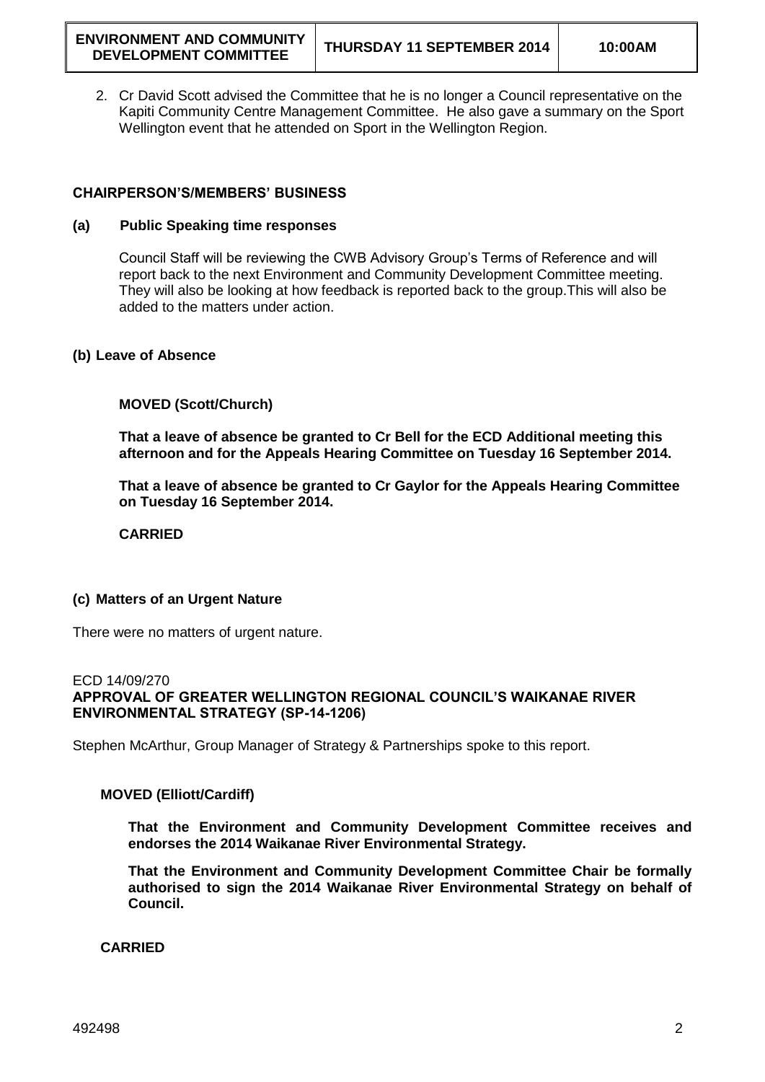2. Cr David Scott advised the Committee that he is no longer a Council representative on the Kapiti Community Centre Management Committee. He also gave a summary on the Sport Wellington event that he attended on Sport in the Wellington Region.

## **CHAIRPERSON'S/MEMBERS' BUSINESS**

### **(a) Public Speaking time responses**

Council Staff will be reviewing the CWB Advisory Group's Terms of Reference and will report back to the next Environment and Community Development Committee meeting. They will also be looking at how feedback is reported back to the group.This will also be added to the matters under action.

### **(b) Leave of Absence**

### **MOVED (Scott/Church)**

**That a leave of absence be granted to Cr Bell for the ECD Additional meeting this afternoon and for the Appeals Hearing Committee on Tuesday 16 September 2014.**

**That a leave of absence be granted to Cr Gaylor for the Appeals Hearing Committee on Tuesday 16 September 2014.**

**CARRIED**

### **(c) Matters of an Urgent Nature**

There were no matters of urgent nature.

### ECD 14/09/270 **APPROVAL OF GREATER WELLINGTON REGIONAL COUNCIL'S WAIKANAE RIVER ENVIRONMENTAL STRATEGY (SP-14-1206)**

Stephen McArthur, Group Manager of Strategy & Partnerships spoke to this report.

# **MOVED (Elliott/Cardiff)**

**That the Environment and Community Development Committee receives and endorses the 2014 Waikanae River Environmental Strategy.**

**That the Environment and Community Development Committee Chair be formally authorised to sign the 2014 Waikanae River Environmental Strategy on behalf of Council.** 

**CARRIED**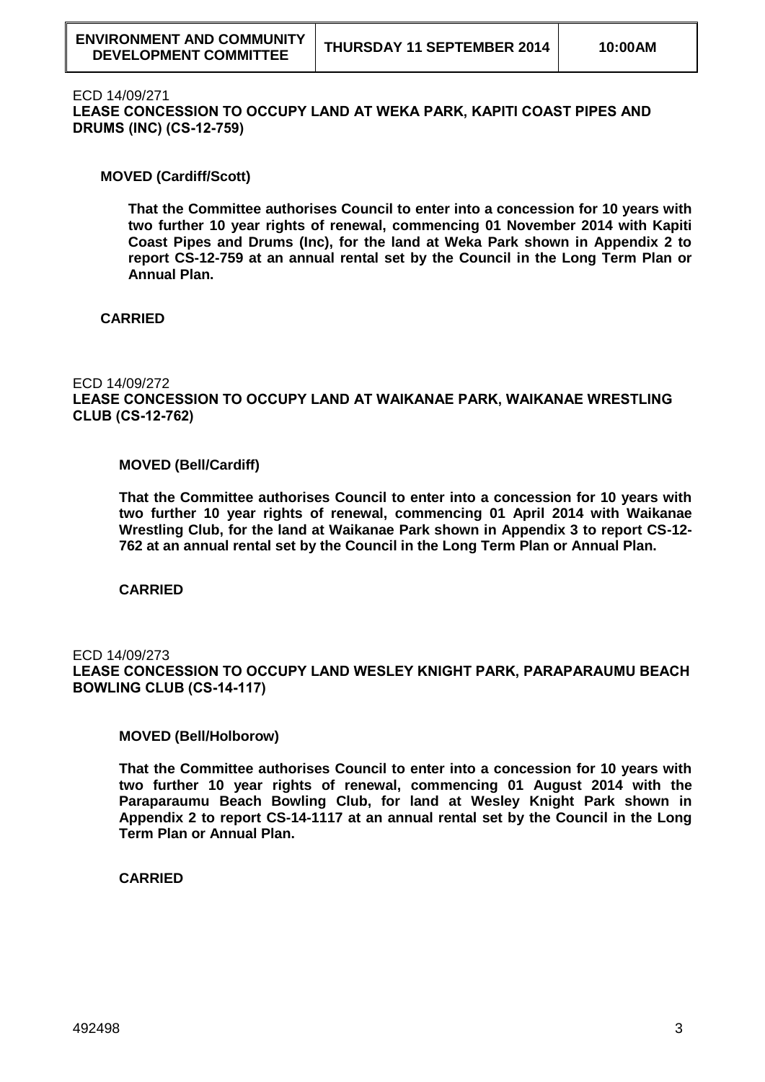### ECD 14/09/271

**LEASE CONCESSION TO OCCUPY LAND AT WEKA PARK, KAPITI COAST PIPES AND DRUMS (INC) (CS-12-759)**

## **MOVED (Cardiff/Scott)**

**That the Committee authorises Council to enter into a concession for 10 years with two further 10 year rights of renewal, commencing 01 November 2014 with Kapiti Coast Pipes and Drums (Inc), for the land at Weka Park shown in Appendix 2 to report CS-12-759 at an annual rental set by the Council in the Long Term Plan or Annual Plan.**

# **CARRIED**

## ECD 14/09/272

**LEASE CONCESSION TO OCCUPY LAND AT WAIKANAE PARK, WAIKANAE WRESTLING CLUB (CS-12-762)**

### **MOVED (Bell/Cardiff)**

**That the Committee authorises Council to enter into a concession for 10 years with two further 10 year rights of renewal, commencing 01 April 2014 with Waikanae Wrestling Club, for the land at Waikanae Park shown in Appendix 3 to report CS-12- 762 at an annual rental set by the Council in the Long Term Plan or Annual Plan.**

**CARRIED**

## ECD 14/09/273 **LEASE CONCESSION TO OCCUPY LAND WESLEY KNIGHT PARK, PARAPARAUMU BEACH BOWLING CLUB (CS-14-117)**

### **MOVED (Bell/Holborow)**

**That the Committee authorises Council to enter into a concession for 10 years with two further 10 year rights of renewal, commencing 01 August 2014 with the Paraparaumu Beach Bowling Club, for land at Wesley Knight Park shown in Appendix 2 to report CS-14-1117 at an annual rental set by the Council in the Long Term Plan or Annual Plan.**

**CARRIED**